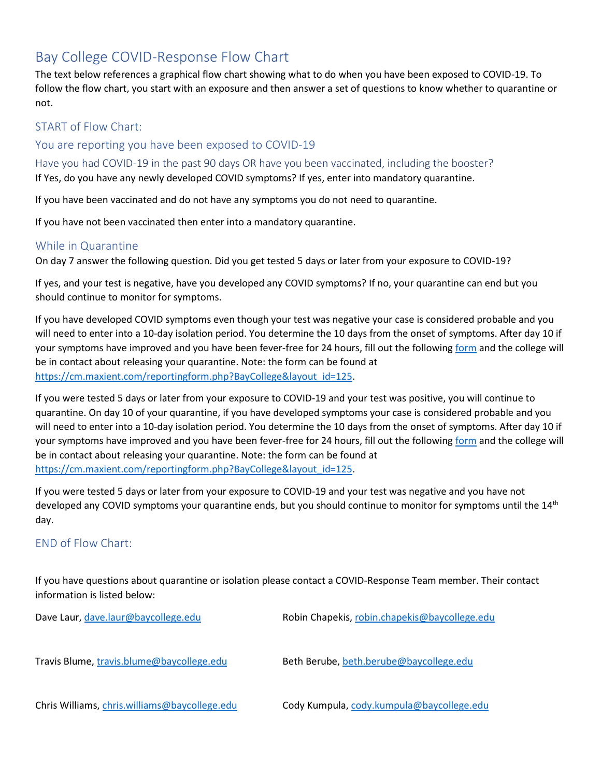## Bay College COVID-Response Flow Chart

The text below references a graphical flow chart showing what to do when you have been exposed to COVID-19. To follow the flow chart, you start with an exposure and then answer a set of questions to know whether to quarantine or not.

### START of Flow Chart:

#### You are reporting you have been exposed to COVID-19

Have you had COVID-19 in the past 90 days OR have you been vaccinated, including the booster? If Yes, do you have any newly developed COVID symptoms? If yes, enter into mandatory quarantine.

If you have been vaccinated and do not have any symptoms you do not need to quarantine.

If you have not been vaccinated then enter into a mandatory quarantine.

### While in Quarantine

On day 7 answer the following question. Did you get tested 5 days or later from your exposure to COVID-19?

If yes, and your test is negative, have you developed any COVID symptoms? If no, your quarantine can end but you should continue to monitor for symptoms.

If you have developed COVID symptoms even though your test was negative your case is considered probable and you will need to enter into a 10-day isolation period. You determine the 10 days from the onset of symptoms. After day 10 if your symptoms have improved and you have been fever-free for 24 hours, fill out the following [form](https://cm.maxient.com/reportingform.php?BayCollege&layout_id=125) and the college will be in contact about releasing your quarantine. Note: the form can be found at [https://cm.maxient.com/reportingform.php?BayCollege&layout\\_id=125.](https://cm.maxient.com/reportingform.php?BayCollege&layout_id=125)

If you were tested 5 days or later from your exposure to COVID-19 and your test was positive, you will continue to quarantine. On day 10 of your quarantine, if you have developed symptoms your case is considered probable and you will need to enter into a 10-day isolation period. You determine the 10 days from the onset of symptoms. After day 10 if your symptoms have improved and you have been fever-free for 24 hours, fill out the following [form](https://cm.maxient.com/reportingform.php?BayCollege&layout_id=125) and the college will be in contact about releasing your quarantine. Note: the form can be found at [https://cm.maxient.com/reportingform.php?BayCollege&layout\\_id=125.](https://cm.maxient.com/reportingform.php?BayCollege&layout_id=125)

If you were tested 5 days or later from your exposure to COVID-19 and your test was negative and you have not developed any COVID symptoms your quarantine ends, but you should continue to monitor for symptoms until the 14<sup>th</sup> day.

### END of Flow Chart:

If you have questions about quarantine or isolation please contact a COVID-Response Team member. Their contact information is listed below:

| Dave Laur, dave.laur@baycollege.edu           | Robin Chapekis, robin.chapekis@baycollege.edu |
|-----------------------------------------------|-----------------------------------------------|
| Travis Blume, travis.blume@baycollege.edu     | Beth Berube, beth.berube@baycollege.edu       |
| Chris Williams, chris.williams@baycollege.edu | Cody Kumpula, cody.kumpula@baycollege.edu     |